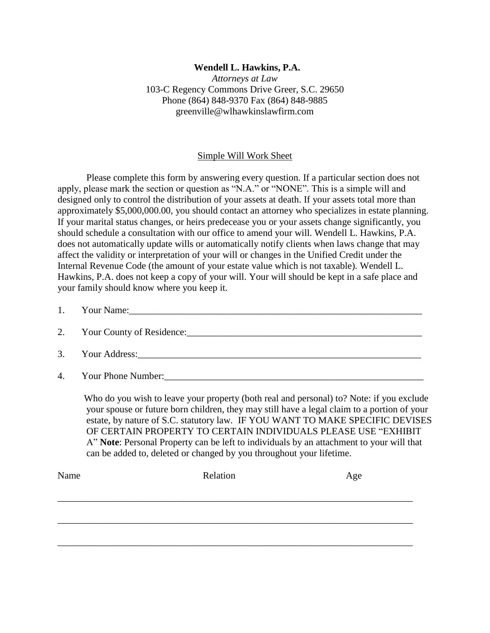## **Wendell L. Hawkins, P.A.**

*Attorneys at Law* 103-C Regency Commons Drive Greer, S.C. 29650 Phone (864) 848-9370 Fax (864) 848-9885 greenville@wlhawkinslawfirm.com

## Simple Will Work Sheet

Please complete this form by answering every question. If a particular section does not apply, please mark the section or question as "N.A." or "NONE". This is a simple will and designed only to control the distribution of your assets at death. If your assets total more than approximately \$5,000,000.00, you should contact an attorney who specializes in estate planning. If your marital status changes, or heirs predecease you or your assets change significantly, you should schedule a consultation with our office to amend your will. Wendell L. Hawkins, P.A. does not automatically update wills or automatically notify clients when laws change that may affect the validity or interpretation of your will or changes in the Unified Credit under the Internal Revenue Code (the amount of your estate value which is not taxable). Wendell L. Hawkins, P.A. does not keep a copy of your will. Your will should be kept in a safe place and your family should know where you keep it.

| 1. Your Name: 2008 and 2008 and 2008 and 2008 and 2008 and 2008 and 2008 and 2008 and 2008 and 2008 and 2008 and 2008 and 2008 and 2008 and 2008 and 2008 and 2008 and 2008 and 2008 and 2008 and 2008 and 2008 and 2008 and 2 |
|--------------------------------------------------------------------------------------------------------------------------------------------------------------------------------------------------------------------------------|
| 2. Your County of Residence: 2008. The Same County of Residence:                                                                                                                                                               |
|                                                                                                                                                                                                                                |
| 4. Your Phone Number:                                                                                                                                                                                                          |

 Who do you wish to leave your property (both real and personal) to? Note: if you exclude your spouse or future born children, they may still have a legal claim to a portion of your estate, by nature of S.C. statutory law. IF YOU WANT TO MAKE SPECIFIC DEVISES OF CERTAIN PROPERTY TO CERTAIN INDIVIDUALS PLEASE USE "EXHIBIT A" **Note**: Personal Property can be left to individuals by an attachment to your will that can be added to, deleted or changed by you throughout your lifetime.

| Name | Relation | Age |
|------|----------|-----|
|      |          |     |
|      |          |     |
|      |          |     |
|      |          |     |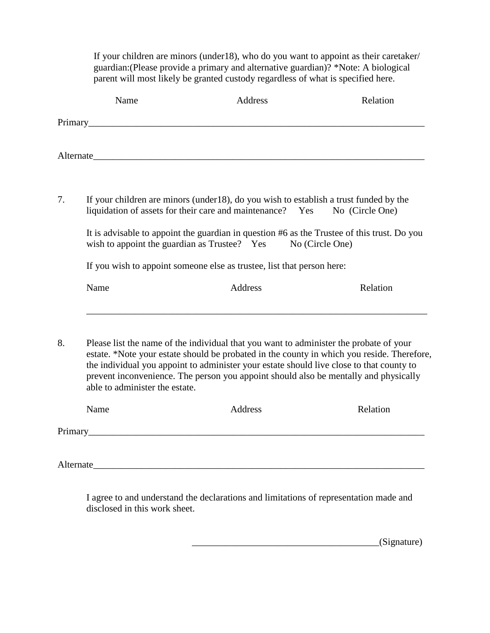If your children are minors (under18), who do you want to appoint as their caretaker/ guardian:(Please provide a primary and alternative guardian)? \*Note: A biological parent will most likely be granted custody regardless of what is specified here.

|                                                                        | Name                                                                                                                                                                                                                                                                                                                                                                                                       | Address        | Relation |  |  |
|------------------------------------------------------------------------|------------------------------------------------------------------------------------------------------------------------------------------------------------------------------------------------------------------------------------------------------------------------------------------------------------------------------------------------------------------------------------------------------------|----------------|----------|--|--|
|                                                                        |                                                                                                                                                                                                                                                                                                                                                                                                            |                |          |  |  |
|                                                                        | Alternate and the state of the state of the state of the state of the state of the state of the state of the state of the state of the state of the state of the state of the state of the state of the state of the state of                                                                                                                                                                              |                |          |  |  |
| 7.                                                                     | If your children are minors (under 18), do you wish to establish a trust funded by the<br>liquidation of assets for their care and maintenance? Yes No (Circle One)<br>It is advisable to appoint the guardian in question #6 as the Trustee of this trust. Do you<br>wish to appoint the guardian as Trustee? Yes<br>No (Circle One)                                                                      |                |          |  |  |
| If you wish to appoint someone else as trustee, list that person here: |                                                                                                                                                                                                                                                                                                                                                                                                            |                |          |  |  |
|                                                                        | Name                                                                                                                                                                                                                                                                                                                                                                                                       | Address        | Relation |  |  |
| 8.                                                                     | Please list the name of the individual that you want to administer the probate of your<br>estate. *Note your estate should be probated in the county in which you reside. Therefore,<br>the individual you appoint to administer your estate should live close to that county to<br>prevent inconvenience. The person you appoint should also be mentally and physically<br>able to administer the estate. |                |          |  |  |
|                                                                        | Name                                                                                                                                                                                                                                                                                                                                                                                                       | <b>Address</b> | Relation |  |  |
|                                                                        |                                                                                                                                                                                                                                                                                                                                                                                                            |                |          |  |  |
|                                                                        | Alternate                                                                                                                                                                                                                                                                                                                                                                                                  |                |          |  |  |

I agree to and understand the declarations and limitations of representation made and disclosed in this work sheet.

 $_$ (Signature)